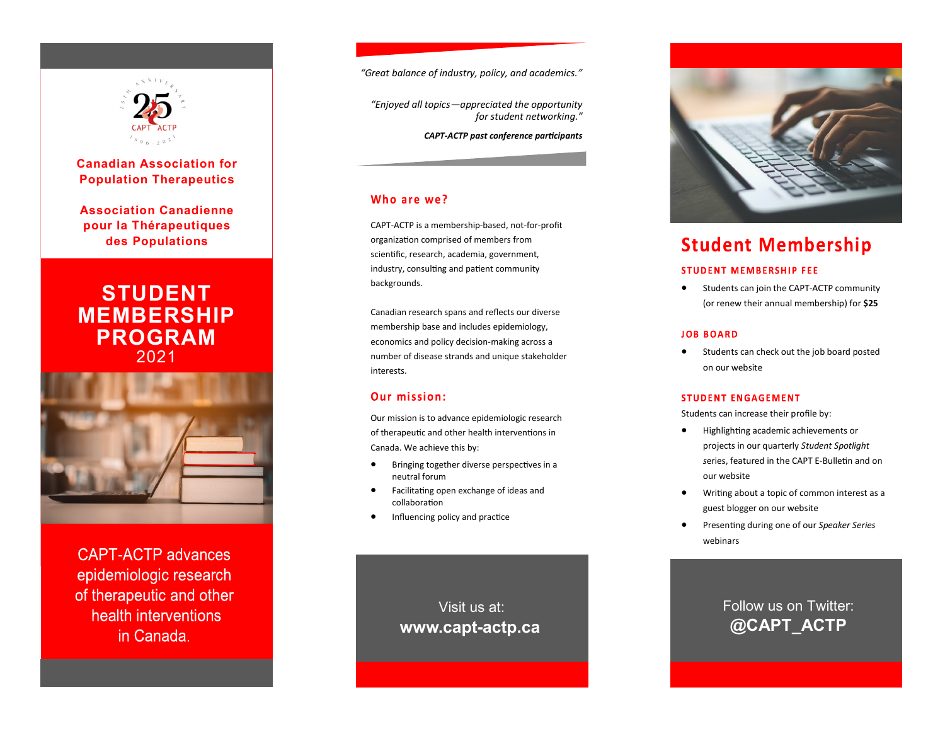

# **Canadian Association for Population Therapeutics**

**Association Canadienne pour la Thérapeutiques des Populations**

# **STUDENT MEMBERSHIP PROGRAM** 2021



**CAPT-ACTP advances** epidemiologic research of therapeutic and other health interventions in Canada.

*"Great balance of industry, policy, and academics."*

*"Enjoyed all topics—appreciated the opportunity for student networking."* 

*CAPT-ACTP past conference participants*

## Who are we?

CAPT-ACTP is a membership-based, not-for-profit organization comprised of members from scientific, research, academia, government, industry, consulting and patient community backgrounds.

Canadian research spans and reflects our diverse membership base and includes epidemiology, economics and policy decision-making across a number of disease strands and unique stakeholder interests.

## Our mission:

Our mission is to advance epidemiologic research of therapeutic and other health interventions in Canada. We achieve this by:

- Bringing together diverse perspectives in a neutral forum
- Facilitating open exchange of ideas and collaboration
- Influencing policy and practice

Visit us at: **www.capt-actp.ca**



# **Student Membership**

#### **STUDENT MEMBERSHIP FEE**

• Students can join the CAPT-ACTP community (or renew their annual membership) for **\$25** 

#### **JOB BOARD**

Students can check out the job board posted on our website

#### **STUDENT ENGAGEMENT**

Students can increase their profile by:

- Highlighting academic achievements or projects in our quarterly *Student Spotlight s*eries, featured in the CAPT E-Bulletin and on our website
- Writing about a topic of common interest as a guest blogger on our website
- Presenting during one of our *Speaker Series*  webinars

Follow us on Twitter: **@CAPT\_ACTP**